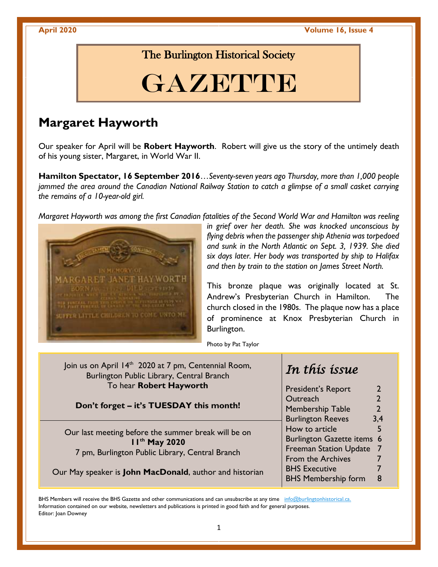**April 2020 Volume 16, Issue 4**

### The Burlington Historical Society

# GAZETTE

## **Margaret Hayworth**

Our speaker for April will be **Robert Hayworth**. Robert will give us the story of the untimely death of his young sister, Margaret, in World War II.

**Hamilton Spectator, 16 September 2016**…*Seventy-seven years ago Thursday, more than 1,000 people jammed the area around the Canadian National Railway Station to catch a glimpse of a small casket carrying the remains of a 10-year-old girl.*

*Margaret Hayworth was among the first Canadian fatalities of the Second World War and Hamilton was reeling* 



*in grief over her death. She was knocked unconscious by flying debris when the passenger ship Athenia was torpedoed and sunk in the North Atlantic on Sept. 3, 1939. She died six days later. Her body was transported by ship to Halifax and then by train to the station on James Street North.*

This bronze plaque was originally located at St. Andrew's Presbyterian Church in Hamilton. The church closed in the 1980s. The plaque now has a place of prominence at Knox Presbyterian Church in Burlington.

Photo by Pat Taylor

| Join us on April 14 <sup>th</sup> 2020 at 7 pm, Centennial Room,<br>Burlington Public Library, Central Branch                        | In this issue                               |
|--------------------------------------------------------------------------------------------------------------------------------------|---------------------------------------------|
| To hear Robert Hayworth                                                                                                              | <b>President's Report</b><br>$\overline{2}$ |
| Don't forget - it's TUESDAY this month!                                                                                              | $\overline{2}$<br>Outreach                  |
|                                                                                                                                      | $\overline{2}$<br><b>Membership Table</b>   |
|                                                                                                                                      | <b>Burlington Reeves</b><br>3,4             |
| Our last meeting before the summer break will be on<br>I I <sup>th</sup> May 2020<br>7 pm, Burlington Public Library, Central Branch | How to article<br>5                         |
|                                                                                                                                      | Burlington Gazette items 6                  |
|                                                                                                                                      | Freeman Station Update 7                    |
|                                                                                                                                      | From the Archives                           |
| Our May speaker is John MacDonald, author and historian                                                                              | <b>BHS Executive</b>                        |
|                                                                                                                                      | <b>BHS Membership form</b><br>8             |

BHS Members will receive the BHS Gazette and other communications and can unsubscribe at any time info@burlingtonhistorical.ca. Information contained on our website, newsletters and publications is printed in good faith and for general purposes. Editor: Joan Downey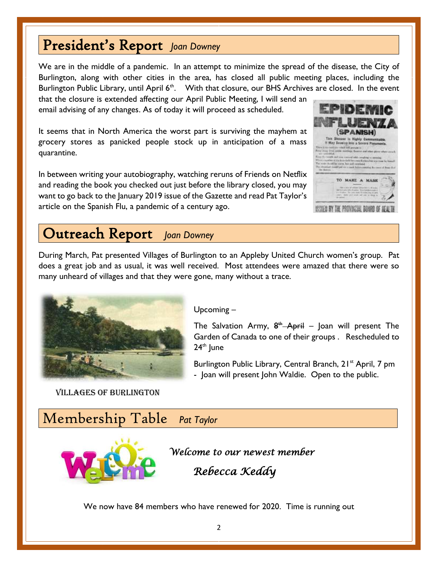# President's Report *Joan Downey*

We are in the middle of a pandemic. In an attempt to minimize the spread of the disease, the City of Burlington, along with other cities in the area, has closed all public meeting places, including the Burlington Public Library, until April  $6<sup>th</sup>$ . With that closure, our BHS Archives are closed. In the event

that the closure is extended affecting our April Public Meeting, I will send an email advising of any changes. As of today it will proceed as scheduled.

It seems that in North America the worst part is surviving the mayhem at grocery stores as panicked people stock up in anticipation of a mass quarantine.

In between writing your autobiography, watching reruns of Friends on Netflix and reading the book you checked out just before the library closed, you may want to go back to the January 2019 issue of the Gazette and read Pat Taylor's article on the Spanish Flu, a pandemic of a century ago.



# Outreach Report *Joan Downey*

During March, Pat presented Villages of Burlington to an Appleby United Church women's group. Pat does a great job and as usual, it was well received. Most attendees were amazed that there were so many unheard of villages and that they were gone, many without a trace.



Villages of Burlington

#### Upcoming –

The Salvation Army,  $8^{\text{th}}$  April – Joan will present The Garden of Canada to one of their groups . Rescheduled to  $24^{\text{th}}$  June

Burlington Public Library, Central Branch, 21<sup>st</sup> April, 7 pm - Joan will present John Waldie. Open to the public.

## Membership Table *Pat Taylor*



*Welcome to our newest member* 

 *Rebecca Keddy* 

We now have 84 members who have renewed for 2020. Time is running out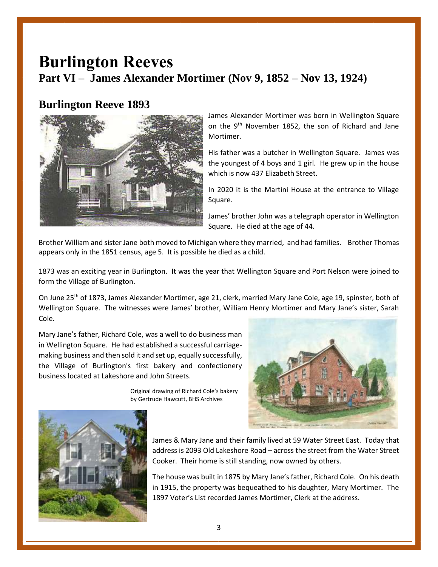# **Burlington Reeves Part VI – James Alexander Mortimer (Nov 9, 1852 – Nov 13, 1924)**

#### **Burlington Reeve 1893**



James Alexander Mortimer was born in Wellington Square on the 9<sup>th</sup> November 1852, the son of Richard and Jane Mortimer.

His father was a butcher in Wellington Square. James was the youngest of 4 boys and 1 girl. He grew up in the house which is now 437 Elizabeth Street.

In 2020 it is the Martini House at the entrance to Village Square.

James' brother John was a telegraph operator in Wellington Square. He died at the age of 44.

Brother William and sister Jane both moved to Michigan where they married, and had families. Brother Thomas appears only in the 1851 census, age 5. It is possible he died as a child.

1873 was an exciting year in Burlington. It was the year that Wellington Square and Port Nelson were joined to form the Village of Burlington.

On June 25<sup>th</sup> of 1873, James Alexander Mortimer, age 21, clerk, married Mary Jane Cole, age 19, spinster, both of Wellington Square. The witnesses were James' brother, William Henry Mortimer and Mary Jane's sister, Sarah Cole.

Mary Jane's father, Richard Cole, was a well to do business man in Wellington Square. He had established a successful carriagemaking business and then sold it and set up, equally successfully, the Village of Burlington's first bakery and confectionery business located at Lakeshore and John Streets.

> Original drawing of Richard Cole's bakery by Gertrude Hawcutt, BHS Archives





James & Mary Jane and their family lived at 59 Water Street East. Today that address is 2093 Old Lakeshore Road – across the street from the Water Street Cooker. Their home is still standing, now owned by others.

The house was built in 1875 by Mary Jane's father, Richard Cole. On his death in 1915, the property was bequeathed to his daughter, Mary Mortimer. The 1897 Voter's List recorded James Mortimer, Clerk at the address.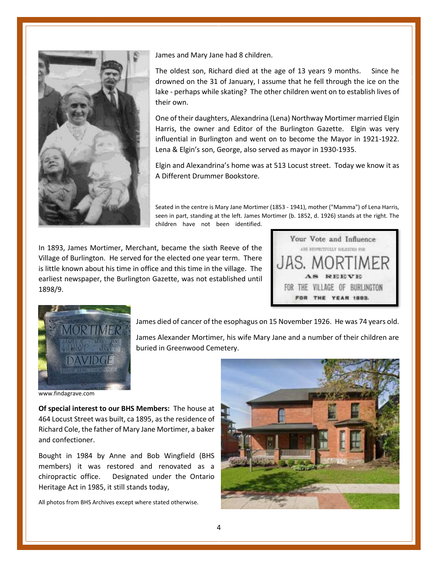

James and Mary Jane had 8 children.

The oldest son, Richard died at the age of 13 years 9 months. Since he drowned on the 31 of January, I assume that he fell through the ice on the lake - perhaps while skating? The other children went on to establish lives of their own.

One of their daughters, Alexandrina (Lena) Northway Mortimer married Elgin Harris, the owner and Editor of the Burlington Gazette. Elgin was very influential in Burlington and went on to become the Mayor in 1921-1922. Lena & Elgin's son, George, also served as mayor in 1930-1935.

Elgin and Alexandrina's home was at 513 Locust street. Today we know it as A Different Drummer Bookstore.

Seated in the centre is Mary Jane Mortimer (1853 - 1941), mother ("Mamma") of Lena Harris, seen in part, standing at the left. James Mortimer (b. 1852, d. 1926) stands at the right. The children have not been identified.

In 1893, James Mortimer, Merchant, became the sixth Reeve of the Village of Burlington. He served for the elected one year term. There is little known about his time in office and this time in the village. The earliest newspaper, the Burlington Gazette, was not established until 1898/9.





James died of cancer of the esophagus on 15 November 1926. He was 74 years old.

James Alexander Mortimer, his wife Mary Jane and a number of their children are buried in Greenwood Cemetery.

www.findagrave.com

**Of special interest to our BHS Members:** The house at 464 Locust Street was built, ca 1895, as the residence of Richard Cole, the father of Mary Jane Mortimer, a baker and confectioner.

Bought in 1984 by Anne and Bob Wingfield (BHS members) it was restored and renovated as a chiropractic office. Designated under the Ontario Heritage Act in 1985, it still stands today,

All photos from BHS Archives except where stated otherwise.

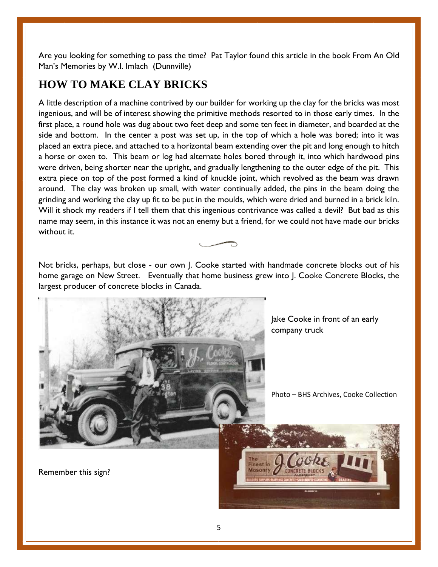Are you looking for something to pass the time? Pat Taylor found this article in the book From An Old Man's Memories by W.I. Imlach (Dunnville)

### **HOW TO MAKE CLAY BRICKS**

A little description of a machine contrived by our builder for working up the clay for the bricks was most ingenious, and will be of interest showing the primitive methods resorted to in those early times. In the first place, a round hole was dug about two feet deep and some ten feet in diameter, and boarded at the side and bottom. In the center a post was set up, in the top of which a hole was bored; into it was placed an extra piece, and attached to a horizontal beam extending over the pit and long enough to hitch a horse or oxen to. This beam or log had alternate holes bored through it, into which hardwood pins were driven, being shorter near the upright, and gradually lengthening to the outer edge of the pit. This extra piece on top of the post formed a kind of knuckle joint, which revolved as the beam was drawn around. The clay was broken up small, with water continually added, the pins in the beam doing the grinding and working the clay up fit to be put in the moulds, which were dried and burned in a brick kiln. Will it shock my readers if I tell them that this ingenious contrivance was called a devil? But bad as this name may seem, in this instance it was not an enemy but a friend, for we could not have made our bricks without it.

Not bricks, perhaps, but close - our own J. Cooke started with handmade concrete blocks out of his home garage on New Street. Eventually that home business grew into J. Cooke Concrete Blocks, the largest producer of concrete blocks in Canada.



Remember this sign?

**Masonry**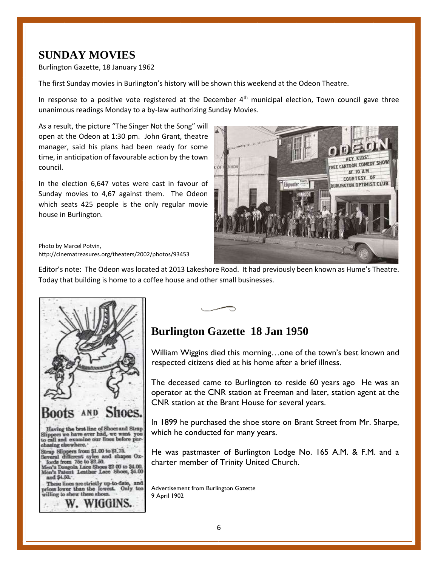### **SUNDAY MOVIES**

Burlington Gazette, 18 January 1962

The first Sunday movies in Burlington's history will be shown this weekend at the Odeon Theatre.

In response to a positive vote registered at the December  $4<sup>th</sup>$  municipal election, Town council gave three unanimous readings Monday to a by-law authorizing Sunday Movies.

As a result, the picture "The Singer Not the Song" will open at the Odeon at 1:30 pm. John Grant, theatre manager, said his plans had been ready for some time, in anticipation of favourable action by the town council.

In the election 6,647 votes were cast in favour of Sunday movies to 4,67 against them. The Odeon which seats 425 people is the only regular movie house in Burlington.



Photo by Marcel Potvin, http://cinematreasures.org/theaters/2002/photos/93453

Editor's note: The Odeon was located at 2013 Lakeshore Road. It had previously been known as Hume's Theatre. Today that building is home to a coffee house and other small businesses.



# **Burlington Gazette 18 Jan 1950**

William Wiggins died this morning…one of the town's best known and respected citizens died at his home after a brief illness.

The deceased came to Burlington to reside 60 years ago He was an operator at the CNR station at Freeman and later, station agent at the CNR station at the Brant House for several years.

In 1899 he purchased the shoe store on Brant Street from Mr. Sharpe, which he conducted for many years.

He was pastmaster of Burlington Lodge No. 165 A.M. & F.M. and a charter member of Trinity United Church.

Advertisement from Burlington Gazette 9 April 1902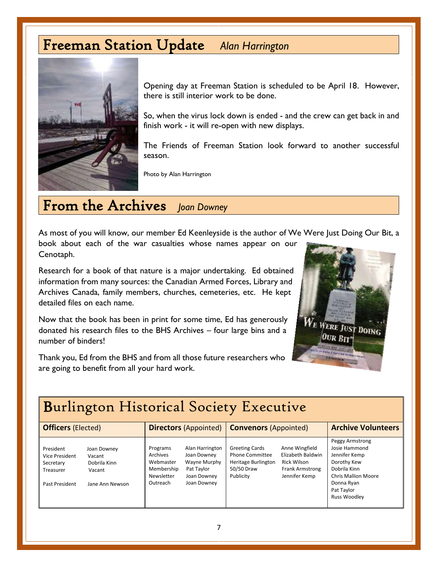# Freeman Station Update *Alan Harrington*



Opening day at Freeman Station is scheduled to be April 18. However, there is still interior work to be done.

So, when the virus lock down is ended - and the crew can get back in and finish work - it will re-open with new displays.

The Friends of Freeman Station look forward to another successful season.

Photo by Alan Harrington

# From the Archives *Joan Downey*

As most of you will know, our member Ed Keenleyside is the author of We Were Just Doing Our Bit, a book about each of the war casualties whose names appear on our

Cenotaph.

Research for a book of that nature is a major undertaking. Ed obtained information from many sources: the Canadian Armed Forces, Library and Archives Canada, family members, churches, cemeteries, etc. He kept detailed files on each name.

Now that the book has been in print for some time, Ed has generously donated his research files to the BHS Archives – four large bins and a number of binders!

Thank you, Ed from the BHS and from all those future researchers who are going to benefit from all your hard work.



#### Burlington Historical Society Executive **Officers** (Elected) **Directors** (Appointed) **Convenors** (Appointed) **Archive Volunteers** President Joan Downey Vice President Vacant Secretary Dobrila Kinn Treasurer Vacant Programs Alan Harrington Archives Joan Downey Webmaster Wayne Murphy Membership Pat Taylor Greeting Cards Anne Wingfield Phone Committee Elizabeth Baldwin Heritage Burlington Rick Wilson 50/50 Draw Frank Armstrong Peggy Armstrong Josie Hammond Jennifer Kemp Dorothy Kew Dobrila Kinn

Past President Jane Ann Newson

ֺֺ

Newsletter Joan Downey Outreach Joan Downey

Publicity Jennifer Kemp

Chris Mallion Moore Donna Ryan Pat Taylor Russ Woodley

#### 7